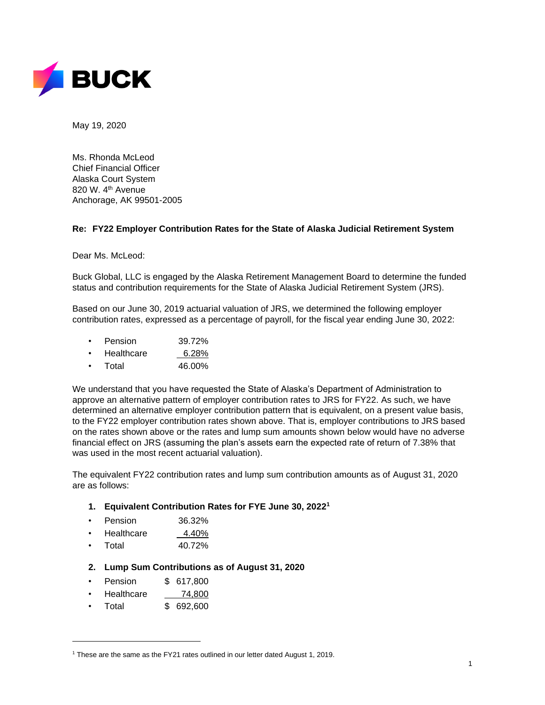

May 19, 2020

Ms. Rhonda McLeod Chief Financial Officer Alaska Court System 820 W. 4<sup>th</sup> Avenue Anchorage, AK 99501-2005

## **Re: FY22 Employer Contribution Rates for the State of Alaska Judicial Retirement System**

Dear Ms. McLeod:

Buck Global, LLC is engaged by the Alaska Retirement Management Board to determine the funded status and contribution requirements for the State of Alaska Judicial Retirement System (JRS).

Based on our June 30, 2019 actuarial valuation of JRS, we determined the following employer contribution rates, expressed as a percentage of payroll, for the fiscal year ending June 30, 2022:

- Pension 39.72%
- Healthcare 6.28%
- Total 46.00%

We understand that you have requested the State of Alaska's Department of Administration to approve an alternative pattern of employer contribution rates to JRS for FY22. As such, we have determined an alternative employer contribution pattern that is equivalent, on a present value basis, to the FY22 employer contribution rates shown above. That is, employer contributions to JRS based on the rates shown above or the rates and lump sum amounts shown below would have no adverse financial effect on JRS (assuming the plan's assets earn the expected rate of return of 7.38% that was used in the most recent actuarial valuation).

The equivalent FY22 contribution rates and lump sum contribution amounts as of August 31, 2020 are as follows:

- **1. Equivalent Contribution Rates for FYE June 30, 2022 1**
- Pension 36.32%
- Healthcare 4.40%
- Total 40.72%
- **2. Lump Sum Contributions as of August 31, 2020**
- Pension \$ 617,800
- Healthcare 74,800
- Total \$ 692,600

<sup>&</sup>lt;sup>1</sup> These are the same as the FY21 rates outlined in our letter dated August 1, 2019.